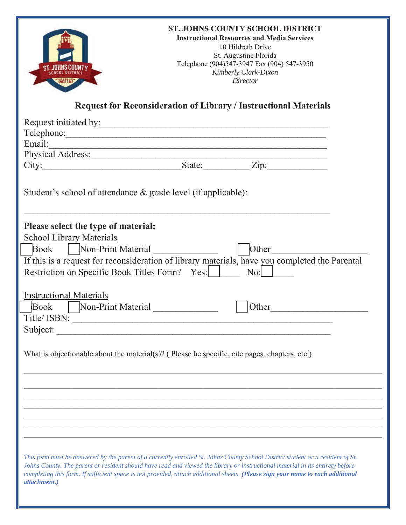|                                                                                                                                                                                                                                                                                                                                                                                                                   |  | <b>ST. JOHNS COUNTY SCHOOL DISTRICT</b><br><b>Instructional Resources and Media Services</b><br>10 Hildreth Drive<br>St. Augustine Florida<br>Telephone (904)547-3947 Fax (904) 547-3950<br>Kimberly Clark-Dixon<br>Director |
|-------------------------------------------------------------------------------------------------------------------------------------------------------------------------------------------------------------------------------------------------------------------------------------------------------------------------------------------------------------------------------------------------------------------|--|------------------------------------------------------------------------------------------------------------------------------------------------------------------------------------------------------------------------------|
| <b>Request for Reconsideration of Library / Instructional Materials</b>                                                                                                                                                                                                                                                                                                                                           |  |                                                                                                                                                                                                                              |
| Request initiated by:<br>Email:<br>Physical Address: State: Zip: Zip:                                                                                                                                                                                                                                                                                                                                             |  |                                                                                                                                                                                                                              |
| Student's school of attendance & grade level (if applicable):                                                                                                                                                                                                                                                                                                                                                     |  |                                                                                                                                                                                                                              |
| Please select the type of material:<br>School Library Materials<br>Book   Non-Print Material<br>If this is a request for reconsideration of library materials, have you completed the Parental<br>Restriction on Specific Book Titles Form? Yes:                                                                                                                                                                  |  | Other<br>$\mathrm{No:}$                                                                                                                                                                                                      |
| <b>Instructional Materials</b><br>Non-Print Material<br><b>Book</b><br>Title/ISBN:<br>Subject:                                                                                                                                                                                                                                                                                                                    |  | Other                                                                                                                                                                                                                        |
| What is objectionable about the material(s)? (Please be specific, cite pages, chapters, etc.)                                                                                                                                                                                                                                                                                                                     |  |                                                                                                                                                                                                                              |
|                                                                                                                                                                                                                                                                                                                                                                                                                   |  |                                                                                                                                                                                                                              |
| This form must be answered by the parent of a currently enrolled St. Johns County School District student or a resident of St.<br>Johns County. The parent or resident should have read and viewed the library or instructional material in its entirety before<br>completing this form. If sufficient space is not provided, attach additional sheets. (Please sign your name to each additional<br>attachment.) |  |                                                                                                                                                                                                                              |